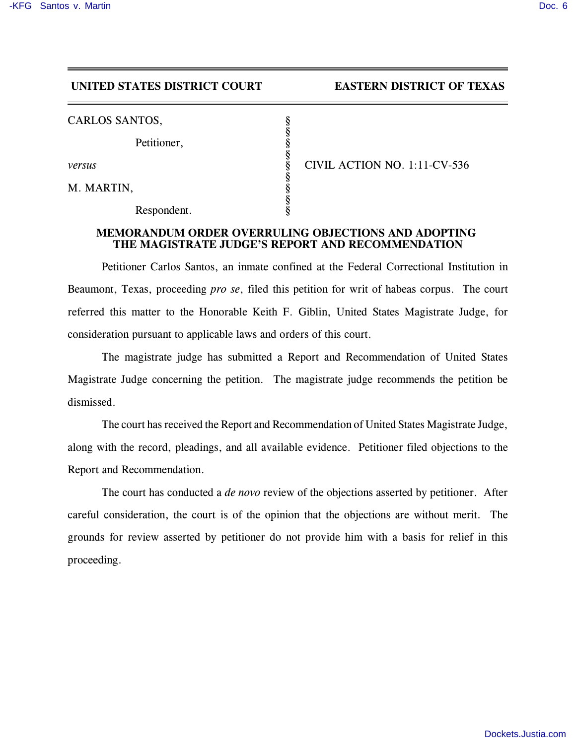## **UNITED STATES DISTRICT COURT EASTERN DISTRICT OF TEXAS**

| CARLOS SANTOS, |  |
|----------------|--|
|----------------|--|

Petitioner,

M. MARTIN,

Respondent.

*versus* § CIVIL ACTION NO. 1:11-CV-536

## **MEMORANDUM ORDER OVERRULING OBJECTIONS AND ADOPTING THE MAGISTRATE JUDGE'S REPORT AND RECOMMENDATION**

§

§

§

§

Petitioner Carlos Santos, an inmate confined at the Federal Correctional Institution in Beaumont, Texas, proceeding *pro se*, filed this petition for writ of habeas corpus. The court referred this matter to the Honorable Keith F. Giblin, United States Magistrate Judge, for consideration pursuant to applicable laws and orders of this court.

The magistrate judge has submitted a Report and Recommendation of United States Magistrate Judge concerning the petition. The magistrate judge recommends the petition be dismissed.

The court has received the Report and Recommendation of United States Magistrate Judge, along with the record, pleadings, and all available evidence. Petitioner filed objections to the Report and Recommendation.

The court has conducted a *de novo* review of the objections asserted by petitioner. After careful consideration, the court is of the opinion that the objections are without merit. The grounds for review asserted by petitioner do not provide him with a basis for relief in this proceeding.